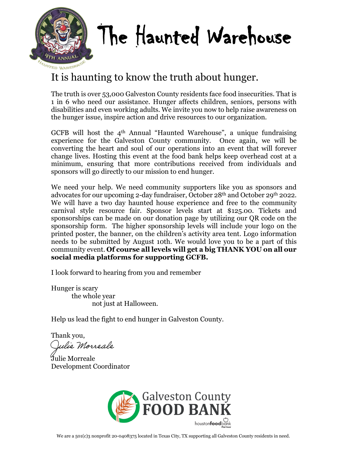

# The Haunted Warehouse

# It is haunting to know the truth about hunger.

The truth is over 53,000 Galveston County residents face food insecurities. That is 1 in 6 who need our assistance. Hunger affects children, seniors, persons with disabilities and even working adults. We invite you now to help raise awareness on the hunger issue, inspire action and drive resources to our organization.

GCFB will host the 4th Annual "Haunted Warehouse", a unique fundraising experience for the Galveston County community. Once again, we will be converting the heart and soul of our operations into an event that will forever change lives. Hosting this event at the food bank helps keep overhead cost at a minimum, ensuring that more contributions received from individuals and sponsors will go directly to our mission to end hunger.

We need your help. We need community supporters like you as sponsors and advocates for our upcoming 2-day fundraiser, October 28th and October 29th 2022. We will have a two day haunted house experience and free to the community carnival style resource fair. Sponsor levels start at \$125.00. Tickets and sponsorships can be made on our donation page by utilizing our QR code on the sponsorship form. The higher sponsorship levels will include your logo on the printed poster, the banner, on the children's activity area tent. Logo information needs to be submitted by August 10th. We would love you to be a part of this community event. **Of course all levels will get a big THANK YOU on all our social media platforms for supporting GCFB.**

I look forward to hearing from you and remember

Hunger is scary the whole year not just at Halloween.

Help us lead the fight to end hunger in Galveston County.

Thank you,

Julie Morreale

Julie Morreale Development Coordinator

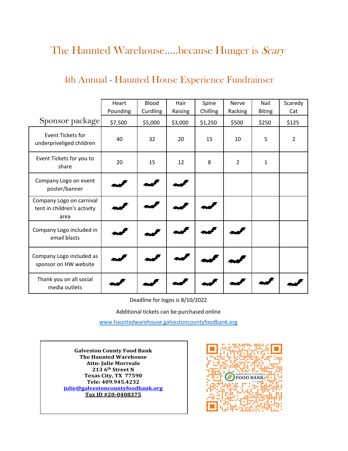# The Haunted Warehouse.....because Hunger is Scary

## 4th Annual - Haunted House Experience Fundrainser

|                                                                 | Heart<br>Pounding | <b>Blood</b><br>Curdling | Hair<br>Raising | Spine<br>Chilling | Nerve<br>Racking | Nail<br><b>Biting</b> | Scaredy<br>Cat |
|-----------------------------------------------------------------|-------------------|--------------------------|-----------------|-------------------|------------------|-----------------------|----------------|
| Sponsor package                                                 | \$7,500           | \$5,000                  | \$3,000         | \$1,250           | \$500            | \$250                 | \$125          |
| Event Tickets for<br>underpriveliged children                   | 40                | 32                       | 20              | 15                | 10               | 5                     | $\overline{2}$ |
| Event Tickets for you to<br>share                               | 20                | 15                       | 12              | 8                 | $\overline{2}$   | 1                     |                |
| Company Logo on event<br>poster/banner                          |                   |                          |                 |                   |                  |                       |                |
| Company Logo on carnival<br>tent in children's activity<br>area |                   |                          |                 |                   |                  |                       |                |
| Company Logo included in<br>email blasts                        |                   |                          |                 |                   |                  |                       |                |
| Company Logo included as<br>sponsor on HW website               |                   |                          |                 |                   |                  |                       |                |
| Thank you on all social<br>media outlets                        |                   |                          |                 |                   |                  |                       |                |

Deadline for logos is 8/10/2022

Additional tickets can be purchased online

[w](http://www.hauntedwarehouse.galvestoncountyfoodbank.org/)ww.hauntedwarehouse.galvestoncountyfoodbank.org

**Galveston County Food Bank The Haunted Warehouse Attn: Julie Morreale 213 6th Street N Texas City, TX 77590 Tele: 409.945.4232 julie@galvestoncountyfoodbank.org Tax ID #20-0408375**

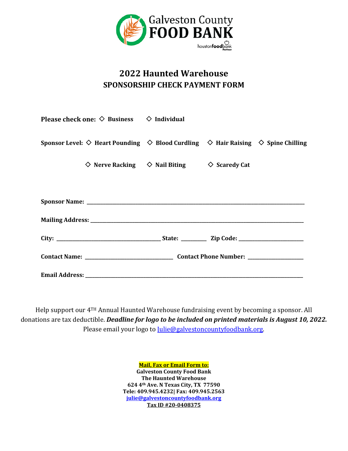

### **2022 Haunted Warehouse SPONSORSHIP CHECK PAYMENT FORM**

| Please check one: $\diamondsuit$ Business $\diamondsuit$ Individual                                                  |                                                                        |  |
|----------------------------------------------------------------------------------------------------------------------|------------------------------------------------------------------------|--|
| Sponsor Level: $\diamond$ Heart Pounding $\Diamond$ Blood Curdling $\Diamond$ Hair Raising $\Diamond$ Spine Chilling |                                                                        |  |
|                                                                                                                      | $\Diamond$ Nerve Racking $\Diamond$ Nail Biting $\Diamond$ Scaredy Cat |  |
|                                                                                                                      |                                                                        |  |
|                                                                                                                      |                                                                        |  |
|                                                                                                                      |                                                                        |  |
|                                                                                                                      |                                                                        |  |
|                                                                                                                      |                                                                        |  |
|                                                                                                                      |                                                                        |  |

Help support our 4TH Annual Haunted Warehouse fundraising event by becoming a sponsor. All donations are tax deductible. *Deadline for logo to be included on printed materials is August 10, 2022.* Please email your logo to [Julie@galvestoncountyfoodbank.org.](mailto:Julie@galvestoncountyfoodbank.org)

> **Mail, Fax or Email Form to: Galveston County Food Bank The Haunted Warehouse 624 4th Ave. N Texas City, TX 77590 Tele: 409.945.4232| Fax: 409.945.2563 [julie@galvestoncountyfoodbank.org](mailto:julie@galvestoncountyfoodbank.org) Tax ID #20-0408375**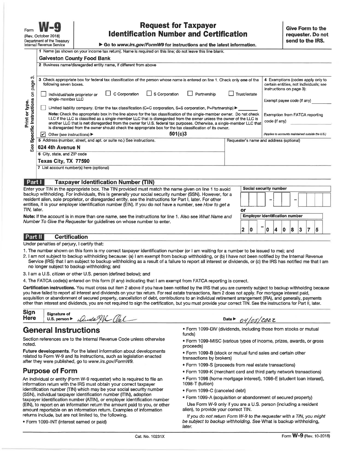#### **Request for Taxpayer Identification Number and Certification**

Go to www.irs.gov/FormW9 for instructions and the latest information.

|                                         | 1 Name (as shown on your income tax return). Name is required on this line; do not leave this line blank.                                                                                                                                                                                                                                                                                                                                                                          |                                                                                                         |                                         |  |  |  |
|-----------------------------------------|------------------------------------------------------------------------------------------------------------------------------------------------------------------------------------------------------------------------------------------------------------------------------------------------------------------------------------------------------------------------------------------------------------------------------------------------------------------------------------|---------------------------------------------------------------------------------------------------------|-----------------------------------------|--|--|--|
|                                         | <b>Galveston County Food Bank</b>                                                                                                                                                                                                                                                                                                                                                                                                                                                  |                                                                                                         |                                         |  |  |  |
|                                         | 2 Business name/disregarded entity name, if different from above                                                                                                                                                                                                                                                                                                                                                                                                                   |                                                                                                         |                                         |  |  |  |
|                                         |                                                                                                                                                                                                                                                                                                                                                                                                                                                                                    |                                                                                                         |                                         |  |  |  |
| ო<br>page                               | Check appropriate box for federal tax classification of the person whose name is entered on line 1. Check only one of the<br>3.<br>following seven boxes.                                                                                                                                                                                                                                                                                                                          | 4 Exemptions (codes apply only to<br>certain entities, not individuals; see<br>instructions on page 3): |                                         |  |  |  |
| $\overline{5}$                          | C Corporation<br>$\Box$ S Corporation<br>Partnership<br>Individual/sole proprietor or<br>single-member LLC                                                                                                                                                                                                                                                                                                                                                                         | Trust/estate                                                                                            | Exempt payee code (if any)              |  |  |  |
|                                         | Limited liability company. Enter the tax classification (C=C corporation, S=S corporation, P=Partnership) ▶                                                                                                                                                                                                                                                                                                                                                                        |                                                                                                         |                                         |  |  |  |
| Specific Instructions<br>Print or type. | Note: Check the appropriate box in the line above for the tax classification of the single-member owner. Do not check<br>LLC if the LLC is classified as a single-member LLC that is disregarded from the owner unless the owner of the LLC is<br>another LLC that is not disregarded from the owner for U.S. federal tax purposes. Otherwise, a single-member LLC that<br>is disregarded from the owner should check the appropriate box for the tax classification of its owner. | <b>Exemption from FATCA reporting</b><br>code (if any)                                                  |                                         |  |  |  |
|                                         | 501(c)3<br>Other (see instructions) ▶<br>∣↙                                                                                                                                                                                                                                                                                                                                                                                                                                        | (Applies to accounts maintained outside the U.S.)                                                       |                                         |  |  |  |
|                                         | 5 Address (number, street, and apt. or suite no.) See instructions.                                                                                                                                                                                                                                                                                                                                                                                                                |                                                                                                         | Requester's name and address (optional) |  |  |  |
| See                                     | 624 4th Avenue N                                                                                                                                                                                                                                                                                                                                                                                                                                                                   |                                                                                                         |                                         |  |  |  |
|                                         | 6 City, state, and ZIP code                                                                                                                                                                                                                                                                                                                                                                                                                                                        |                                                                                                         |                                         |  |  |  |
|                                         | Texas City, TX 77590                                                                                                                                                                                                                                                                                                                                                                                                                                                               |                                                                                                         |                                         |  |  |  |
|                                         | 7 List account number(s) here (optional)                                                                                                                                                                                                                                                                                                                                                                                                                                           |                                                                                                         |                                         |  |  |  |
|                                         |                                                                                                                                                                                                                                                                                                                                                                                                                                                                                    |                                                                                                         |                                         |  |  |  |
| Part I                                  | <b>Taxpayer Identification Number (TIN)</b>                                                                                                                                                                                                                                                                                                                                                                                                                                        |                                                                                                         |                                         |  |  |  |
|                                         | Enter your TIN in the appropriate box. The TIN provided must match the name given on line 1 to avoid                                                                                                                                                                                                                                                                                                                                                                               |                                                                                                         | Social security number                  |  |  |  |
|                                         | oackup withholding. For individuals, this is generally your social security number (SSN). However, for a<br>esident alien, sole proprietor, or disregarded entity, see the instructions for Part I, later. For other<br>entities, it is your employer identification number (EIN). If you do not have a number, see How to get a                                                                                                                                                   |                                                                                                         |                                         |  |  |  |
| <i>FIN.</i> later.                      |                                                                                                                                                                                                                                                                                                                                                                                                                                                                                    | or                                                                                                      |                                         |  |  |  |
|                                         | Note: If the account is in more than one name, see the instructions for line 1. Also see What Name and<br>Vumber To Give the Reauester for auidelines on whose number to enter.                                                                                                                                                                                                                                                                                                    |                                                                                                         | <b>Employer identification number</b>   |  |  |  |
|                                         |                                                                                                                                                                                                                                                                                                                                                                                                                                                                                    |                                                                                                         |                                         |  |  |  |

#### Part II **Certification**

Under penalties of perjury, I certify that:

- 1. The number shown on this form is my correct taxpayer identification number (or I am waiting for a number to be issued to me); and
- 2. I am not subject to backup withholding because: (a) I am exempt from backup withholding, or (b) I have not been notified by the Internal Revenue Service (IRS) that I am subject to backup withholding as a result of a failure to report all interest or dividends, or (c) the IRS has notified me that I am no longer subject to backup withholding; and
- 3. I am a U.S. citizen or other U.S. person (defined below); and
- 4. The FATCA code(s) entered on this form (if any) indicating that I am exempt from FATCA reporting is correct.

Certification instructions. You must cross out item 2 above if you have been notified by the IRS that you are currently subject to backup withholding because you have failed to report all interest and dividends on your tax return. For real estate transactions, item 2 does not apply. For mortgage interest paid, acquisition or abandonment of secured property, cancellation of debt, contributions to an individual retirement arrangement (IRA), and generally, payments other than interest and dividends, you are not required to sign the certification, but you must provide your correct TIN. See the instructions for Part II, later.

| <b>Sign</b> |                                   |                               |                              |
|-------------|-----------------------------------|-------------------------------|------------------------------|
|             | Signature of                      |                               |                              |
| Here        | U.S. person $\blacktriangleright$ | au<br>AU II.<br>$\mathscr{L}$ | Date l<br>202Z<br>UTIUJI UUL |

#### **General Instructions**

Section references are to the Internal Revenue Code unless otherwise noted.

Future developments. For the latest information about developments related to Form W-9 and its instructions, such as legislation enacted after they were published, go to www.irs.gov/FormW9.

#### **Purpose of Form**

An individual or entity (Form W-9 requester) who is required to file an information return with the IRS must obtain your correct taxpayer identification number (TIN) which may be your social security number (SSN), individual taxpayer identification number (ITIN), adoption taxpayer identification number (ATIN), or employer identification number (EIN), to report on an information return the amount paid to you, or other amount reportable on an information return. Examples of information returns include, but are not limited to, the following.

· Form 1099-INT (interest earned or paid)

. Form 1099-DIV (dividends, including those from stocks or mutual funds)

 $2|0|$ 

 $^{-}$  0 4 0 8 3 7 5

- Form 1099-MISC (various types of income, prizes, awards, or gross proceeds)
- . Form 1099-B (stock or mutual fund sales and certain other transactions by brokers)
- Form 1099-S (proceeds from real estate transactions)
- . Form 1099-K (merchant card and third party network transactions)
- · Form 1098 (home mortgage interest), 1098-E (student loan interest),
- 1098-T (tuition)
- · Form 1099-C (canceled debt)
- · Form 1099-A (acquisition or abandonment of secured property)
- Use Form W-9 only if you are a U.S. person (including a resident alien), to provide your correct TIN.

If you do not return Form W-9 to the requester with a TIN, you might be subject to backup withholding. See What is backup withholding, later.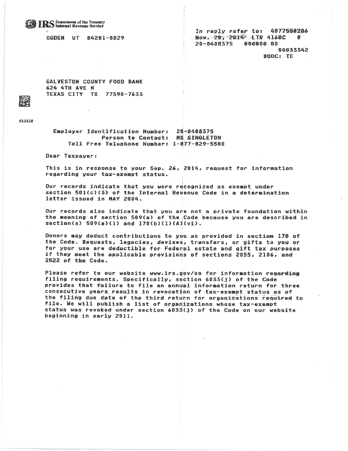#### **IRS** Department of the Treasury

**BGDEN UT 84201-0029** 

In reply refer to: 4077550286 Now. 20, 2014 LTR 4168C 作 20-0408375 000000 00 00033342 BODC: TE

GALVESTON COUNTY FOOD BANK **624 4TH AVE N** TEXAS CITY TX 77598-7633

014510

Employer Identification Number: 20-0408375 Person to Contact: MS SINGLETON Toll Free Telephone Number: 1-877-829-5500

Dear Taxpayer:

This is in response to your Sep. 26, 2014, request for information regarding your tax-exempt status.

Our records indicate that you were recognized as exempt under section 501(c)(3) of the Internal Revenue Code in a determination letter issued in MAY 2004.

Our records also indicate that you are not a private foundation within the meaning of section 509(a) of the Code because you are described in section(s)  $509(a)(1)$  and  $170(b)(1)(A)(v1)$ .

Donors may deduct contributions to you as provided in section 170 of the Code. Bequests, legacies, devises, transfers, or gifts to you or for your use are deductible for Federal estate and gift tax purposes if they meet the applicable provisions of sections 2055, 2106, and 2522 of the Code.

Please refer to our website www.irs.gov/eo for information regarding filing requirements. Specifically, section 6033(j) of the Code provides that failure to file an annual information return for three consecutive years results in revocation of tax-exempt status as of the filing due date of the third return for organizations required to file. We will publish a list of organizations whose tax-exempt status was revoked under section 6033(j) of the Code on our website beginning in early 2011.